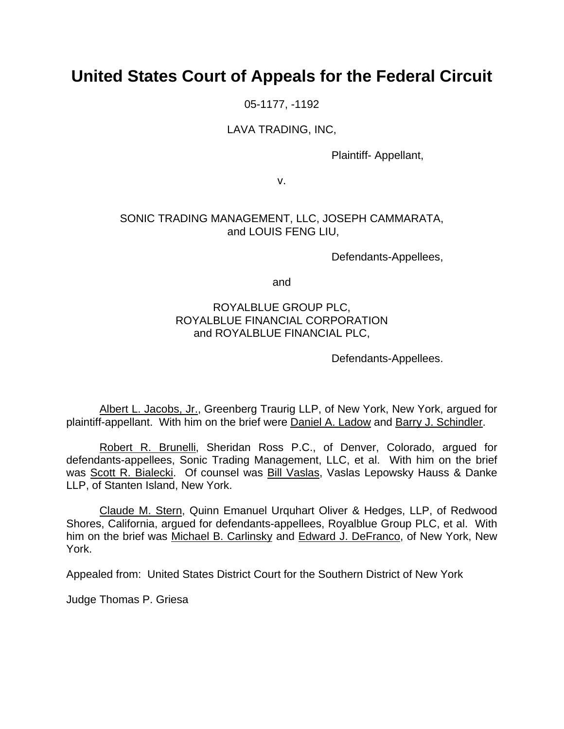# **United States Court of Appeals for the Federal Circuit**

05-1177, -1192

## LAVA TRADING, INC,

Plaintiff- Appellant,

v.

## SONIC TRADING MANAGEMENT, LLC, JOSEPH CAMMARATA, and LOUIS FENG LIU,

Defendants-Appellees,

and

## ROYALBLUE GROUP PLC, ROYALBLUE FINANCIAL CORPORATION and ROYALBLUE FINANCIAL PLC,

Defendants-Appellees.

Albert L. Jacobs, Jr., Greenberg Traurig LLP, of New York, New York, argued for plaintiff-appellant. With him on the brief were Daniel A. Ladow and Barry J. Schindler.

Robert R. Brunelli, Sheridan Ross P.C., of Denver, Colorado, argued for defendants-appellees, Sonic Trading Management, LLC, et al. With him on the brief was Scott R. Bialecki. Of counsel was Bill Vaslas, Vaslas Lepowsky Hauss & Danke LLP, of Stanten Island, New York.

Claude M. Stern, Quinn Emanuel Urquhart Oliver & Hedges, LLP, of Redwood Shores, California, argued for defendants-appellees, Royalblue Group PLC, et al. With him on the brief was Michael B. Carlinsky and Edward J. DeFranco, of New York, New York.

Appealed from: United States District Court for the Southern District of New York

Judge Thomas P. Griesa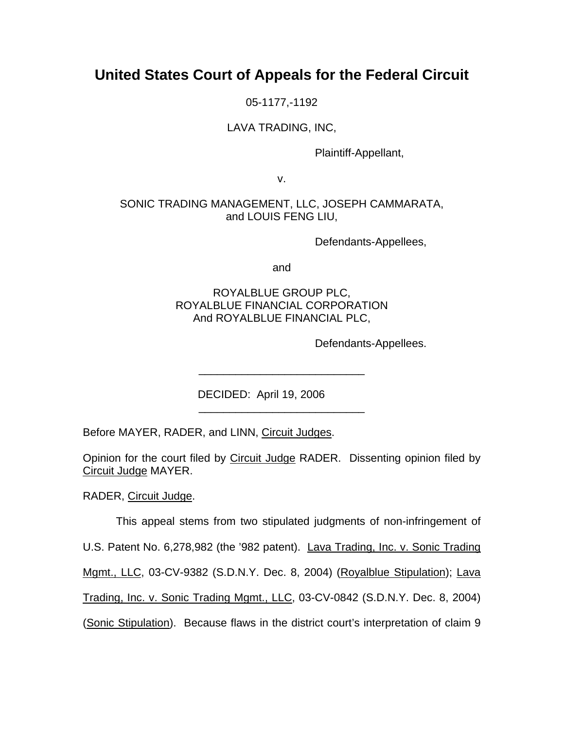## **United States Court of Appeals for the Federal Circuit**

05-1177,-1192

## LAVA TRADING, INC,

Plaintiff-Appellant,

v.

## SONIC TRADING MANAGEMENT, LLC, JOSEPH CAMMARATA, and LOUIS FENG LIU,

Defendants-Appellees,

and

## ROYALBLUE GROUP PLC, ROYALBLUE FINANCIAL CORPORATION And ROYALBLUE FINANCIAL PLC,

\_\_\_\_\_\_\_\_\_\_\_\_\_\_\_\_\_\_\_\_\_\_\_\_\_\_\_

\_\_\_\_\_\_\_\_\_\_\_\_\_\_\_\_\_\_\_\_\_\_\_\_\_\_\_

Defendants-Appellees.

DECIDED: April 19, 2006

Before MAYER, RADER, and LINN, Circuit Judges.

Opinion for the court filed by Circuit Judge RADER. Dissenting opinion filed by Circuit Judge MAYER.

RADER, Circuit Judge.

This appeal stems from two stipulated judgments of non-infringement of

U.S. Patent No. 6,278,982 (the '982 patent). Lava Trading, Inc. v. Sonic Trading

Mgmt., LLC, 03-CV-9382 (S.D.N.Y. Dec. 8, 2004) (Royalblue Stipulation); Lava

Trading, Inc. v. Sonic Trading Mgmt., LLC, 03-CV-0842 (S.D.N.Y. Dec. 8, 2004)

(Sonic Stipulation). Because flaws in the district court's interpretation of claim 9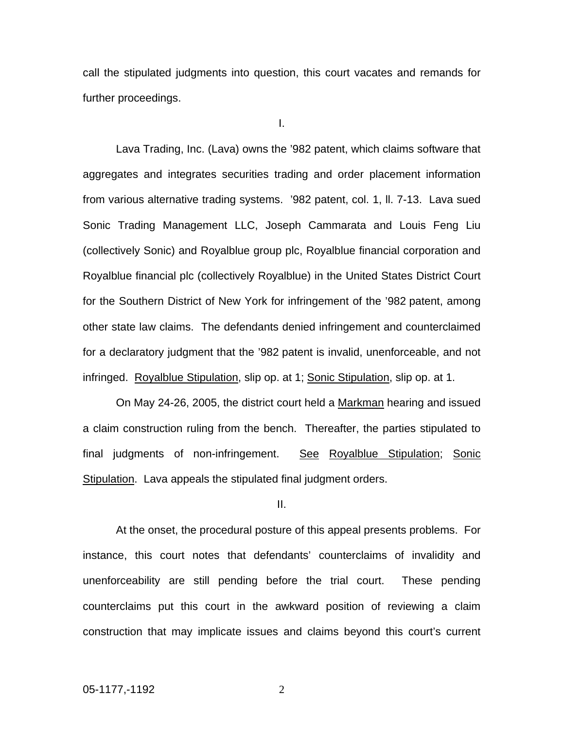call the stipulated judgments into question, this court vacates and remands for further proceedings.

I.

Lava Trading, Inc. (Lava) owns the '982 patent, which claims software that aggregates and integrates securities trading and order placement information from various alternative trading systems. '982 patent, col. 1, ll. 7-13. Lava sued Sonic Trading Management LLC, Joseph Cammarata and Louis Feng Liu (collectively Sonic) and Royalblue group plc, Royalblue financial corporation and Royalblue financial plc (collectively Royalblue) in the United States District Court for the Southern District of New York for infringement of the '982 patent, among other state law claims. The defendants denied infringement and counterclaimed for a declaratory judgment that the '982 patent is invalid, unenforceable, and not infringed. Royalblue Stipulation, slip op. at 1; Sonic Stipulation, slip op. at 1.

On May 24-26, 2005, the district court held a Markman hearing and issued a claim construction ruling from the bench. Thereafter, the parties stipulated to final judgments of non-infringement. See Royalblue Stipulation; Sonic Stipulation. Lava appeals the stipulated final judgment orders.

II.

At the onset, the procedural posture of this appeal presents problems. For instance, this court notes that defendants' counterclaims of invalidity and unenforceability are still pending before the trial court. These pending counterclaims put this court in the awkward position of reviewing a claim construction that may implicate issues and claims beyond this court's current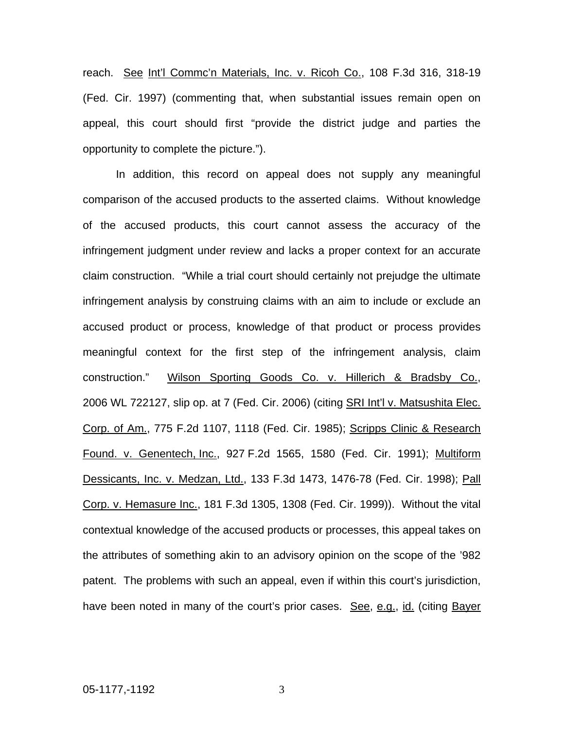reach. See Int'l Commc'n Materials, Inc. v. Ricoh Co., 108 F.3d 316, 318-19 (Fed. Cir. 1997) (commenting that, when substantial issues remain open on appeal, this court should first "provide the district judge and parties the opportunity to complete the picture.").

In addition, this record on appeal does not supply any meaningful comparison of the accused products to the asserted claims. Without knowledge of the accused products, this court cannot assess the accuracy of the infringement judgment under review and lacks a proper context for an accurate claim construction. "While a trial court should certainly not prejudge the ultimate infringement analysis by construing claims with an aim to include or exclude an accused product or process, knowledge of that product or process provides meaningful context for the first step of the infringement analysis, claim construction." Wilson Sporting Goods Co. v. Hillerich & Bradsby Co., 2006 WL 722127, slip op. at 7 (Fed. Cir. 2006) (citing SRI Int'l v. Matsushita Elec. Corp. of Am., 775 F.2d 1107, 1118 (Fed. Cir. 1985); Scripps Clinic & Research Found. v. Genentech, Inc., 927 F.2d 1565, 1580 (Fed. Cir. 1991); Multiform Dessicants, Inc. v. Medzan, Ltd., 133 F.3d 1473, 1476-78 (Fed. Cir. 1998); Pall Corp. v. Hemasure Inc., 181 F.3d 1305, 1308 (Fed. Cir. 1999)). Without the vital contextual knowledge of the accused products or processes, this appeal takes on the attributes of something akin to an advisory opinion on the scope of the '982 patent. The problems with such an appeal, even if within this court's jurisdiction, have been noted in many of the court's prior cases. See, e.g., id. (citing Bayer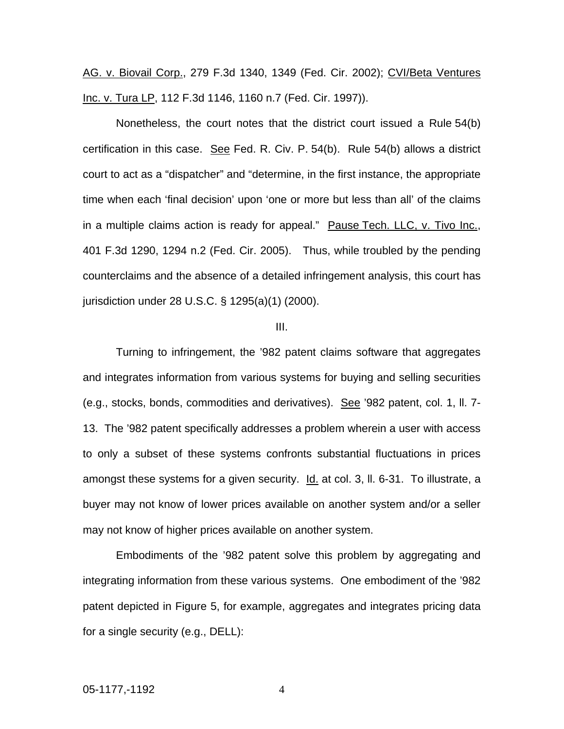AG. v. Biovail Corp., 279 F.3d 1340, 1349 (Fed. Cir. 2002); CVI/Beta Ventures Inc. v. Tura LP, 112 F.3d 1146, 1160 n.7 (Fed. Cir. 1997)).

Nonetheless, the court notes that the district court issued a Rule 54(b) certification in this case. See Fed. R. Civ. P. 54(b). Rule 54(b) allows a district court to act as a "dispatcher" and "determine, in the first instance, the appropriate time when each 'final decision' upon 'one or more but less than all' of the claims in a multiple claims action is ready for appeal." Pause Tech. LLC, v. Tivo Inc., 401 F.3d 1290, 1294 n.2 (Fed. Cir. 2005). Thus, while troubled by the pending counterclaims and the absence of a detailed infringement analysis, this court has jurisdiction under 28 U.S.C. § 1295(a)(1) (2000).

#### III.

Turning to infringement, the '982 patent claims software that aggregates and integrates information from various systems for buying and selling securities (e.g., stocks, bonds, commodities and derivatives). See '982 patent, col. 1, ll. 7- 13. The '982 patent specifically addresses a problem wherein a user with access to only a subset of these systems confronts substantial fluctuations in prices amongst these systems for a given security. Id. at col. 3, II. 6-31. To illustrate, a buyer may not know of lower prices available on another system and/or a seller may not know of higher prices available on another system.

Embodiments of the '982 patent solve this problem by aggregating and integrating information from these various systems. One embodiment of the '982 patent depicted in Figure 5, for example, aggregates and integrates pricing data for a single security (e.g., DELL):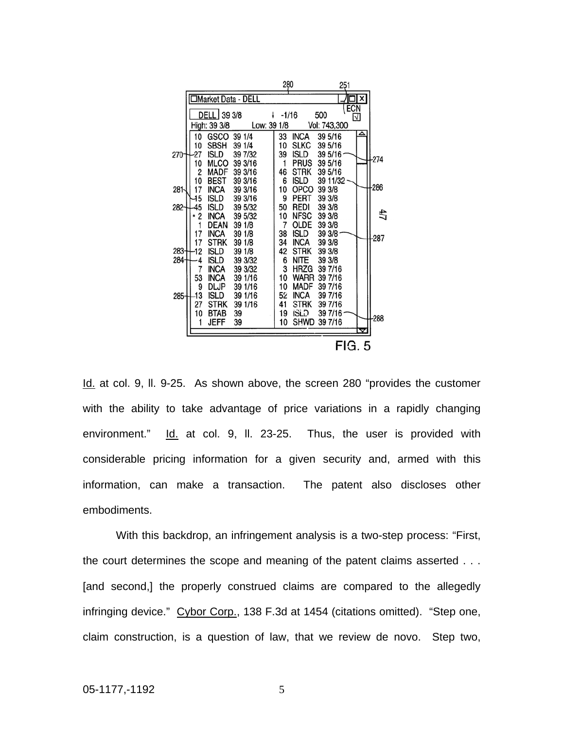|        |                           |                            |                    |             | 280      |                            | 251                |      |    |        |
|--------|---------------------------|----------------------------|--------------------|-------------|----------|----------------------------|--------------------|------|----|--------|
|        | <b>Market Data - DELL</b> |                            |                    |             |          |                            |                    |      | x  |        |
|        |                           | DELL 39 3/8                |                    | t           | $-1/16$  |                            | 500                | (ECN | ΙV |        |
|        |                           | High: 39 3/8               |                    | Low: 39 1/8 |          |                            | Vol: 743,300       |      |    |        |
|        | 10                        | GSCO                       | 39 1/4             |             | 33       | <b>INCA</b>                | 39 5/16            |      |    |        |
| 270    | 10<br>27                  | <b>SBSH</b><br><b>ISLD</b> | 39 1/4<br>39 7/32  |             | 10<br>39 | <b>SLKC</b><br>ISLD        | 39 5/16<br>39 5/16 |      |    |        |
|        | 10                        | <b>MLCO</b>                | 39 3/16            |             | 1        | <b>PRUS</b>                | 39 5/16            |      |    | -274   |
|        | 2                         | <b>MADF</b>                | 39 3/16            |             | 46       | <b>STRK</b>                | 39 5/16            |      |    |        |
| 281    | 10<br>17                  | <b>BEST</b><br><b>INCA</b> | 39 3/16<br>39 3/16 |             | 6<br>10  | <b>ISLD</b><br>OPCO        | 39 11/32<br>39 3/8 |      |    | $-286$ |
|        | 15                        | <b>ISLD</b>                | 39 3/16            |             | 9        | PERT                       | 39 3/8             |      |    |        |
| 282    | 45<br>2                   | <b>ISLD</b><br><b>INCA</b> | 39 5/32<br>39 5/32 |             | 50<br>10 | REDI<br><b>NFSC</b>        | 39 3/8<br>39 3/8   |      |    | 47     |
|        |                           | <b>DEAN</b>                | 39 1/8             |             | 7        | OLDE                       | 39 3/8             |      |    |        |
|        | 17                        | <b>INCA</b>                | 39 1/8             |             | 38       | <b>ISLD</b>                | 39 3/8             |      |    | $-287$ |
| 283    | 17<br>12                  | <b>STRK</b><br><b>ISLD</b> | 39 1/8<br>39 1/8   |             | 34<br>42 | <b>INCA</b><br><b>STRK</b> | 39 3/8<br>39 3/8   |      |    |        |
| 284-   | 4                         | isld                       | 39 3/32            |             | 6        | <b>NITE</b>                | 39 3/8             |      |    |        |
|        | 7<br>53                   | INCA<br>INCA               | 39 3/32<br>39 1/16 |             | 3<br>10  | HRZG<br>WARR               | 39 7/16<br>39 7/16 |      |    |        |
|        | 9                         | DLJP                       | 39 1/16            |             | 10       | <b>MADF</b>                | 39 7/16            |      |    |        |
| 285    | 13                        | isld                       | 39 1/16            |             | 52       | <b>INCA</b>                | 39 7/16            |      |    |        |
|        | 27<br>10                  | <b>STRK</b><br><b>BTAB</b> | 39 1/16<br>39      |             | 41<br>19 | <b>STRK</b><br>ISLD        | 39 7/16<br>39 7/16 |      |    |        |
|        | 1                         | JEFF                       | 39                 |             | 10       | <b>SHWD</b>                | 39 7/16            |      |    | $-288$ |
|        |                           |                            |                    |             |          |                            |                    |      | v  |        |
| FIG. 5 |                           |                            |                    |             |          |                            |                    |      |    |        |

Id. at col. 9, ll. 9-25. As shown above, the screen 280 "provides the customer with the ability to take advantage of price variations in a rapidly changing environment." Id. at col. 9, II. 23-25. Thus, the user is provided with considerable pricing information for a given security and, armed with this information, can make a transaction. The patent also discloses other embodiments.

With this backdrop, an infringement analysis is a two-step process: "First, the court determines the scope and meaning of the patent claims asserted . . . [and second,] the properly construed claims are compared to the allegedly infringing device." Cybor Corp., 138 F.3d at 1454 (citations omitted). "Step one, claim construction, is a question of law, that we review de novo. Step two,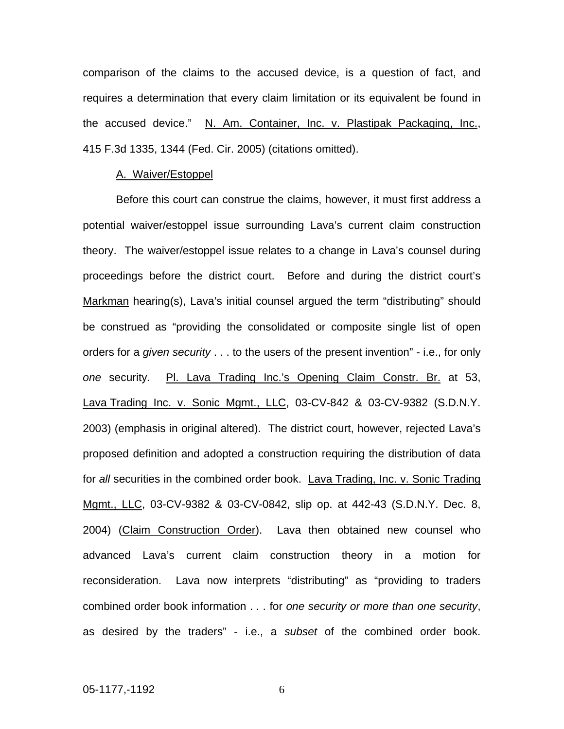comparison of the claims to the accused device, is a question of fact, and requires a determination that every claim limitation or its equivalent be found in the accused device." N. Am. Container, Inc. v. Plastipak Packaging, Inc., 415 F.3d 1335, 1344 (Fed. Cir. 2005) (citations omitted).

#### A. Waiver/Estoppel

Before this court can construe the claims, however, it must first address a potential waiver/estoppel issue surrounding Lava's current claim construction theory. The waiver/estoppel issue relates to a change in Lava's counsel during proceedings before the district court. Before and during the district court's Markman hearing(s), Lava's initial counsel argued the term "distributing" should be construed as "providing the consolidated or composite single list of open orders for a *given security* . . . to the users of the present invention" - i.e., for only *one* security. Pl. Lava Trading Inc.'s Opening Claim Constr. Br. at 53, Lava Trading Inc. v. Sonic Mgmt., LLC, 03-CV-842 & 03-CV-9382 (S.D.N.Y. 2003) (emphasis in original altered). The district court, however, rejected Lava's proposed definition and adopted a construction requiring the distribution of data for *all* securities in the combined order book. Lava Trading, Inc. v. Sonic Trading Mgmt., LLC, 03-CV-9382 & 03-CV-0842, slip op. at 442-43 (S.D.N.Y. Dec. 8, 2004) (Claim Construction Order). Lava then obtained new counsel who advanced Lava's current claim construction theory in a motion for reconsideration. Lava now interprets "distributing" as "providing to traders combined order book information . . . for *one security or more than one security*, as desired by the traders" - i.e., a *subset* of the combined order book.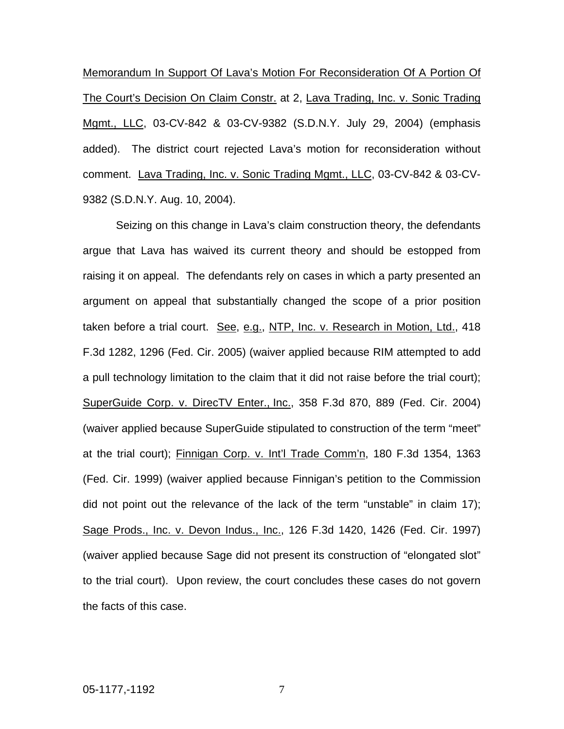Memorandum In Support Of Lava's Motion For Reconsideration Of A Portion Of The Court's Decision On Claim Constr. at 2, Lava Trading, Inc. v. Sonic Trading Mgmt., LLC, 03-CV-842 & 03-CV-9382 (S.D.N.Y. July 29, 2004) (emphasis added). The district court rejected Lava's motion for reconsideration without comment. Lava Trading, Inc. v. Sonic Trading Mgmt., LLC, 03-CV-842 & 03-CV-9382 (S.D.N.Y. Aug. 10, 2004).

Seizing on this change in Lava's claim construction theory, the defendants argue that Lava has waived its current theory and should be estopped from raising it on appeal. The defendants rely on cases in which a party presented an argument on appeal that substantially changed the scope of a prior position taken before a trial court. See, e.g., NTP, Inc. v. Research in Motion, Ltd., 418 F.3d 1282, 1296 (Fed. Cir. 2005) (waiver applied because RIM attempted to add a pull technology limitation to the claim that it did not raise before the trial court); SuperGuide Corp. v. DirecTV Enter., Inc., 358 F.3d 870, 889 (Fed. Cir. 2004) (waiver applied because SuperGuide stipulated to construction of the term "meet" at the trial court); Finnigan Corp. v. Int'l Trade Comm'n, 180 F.3d 1354, 1363 (Fed. Cir. 1999) (waiver applied because Finnigan's petition to the Commission did not point out the relevance of the lack of the term "unstable" in claim 17); Sage Prods., Inc. v. Devon Indus., Inc., 126 F.3d 1420, 1426 (Fed. Cir. 1997) (waiver applied because Sage did not present its construction of "elongated slot" to the trial court). Upon review, the court concludes these cases do not govern the facts of this case.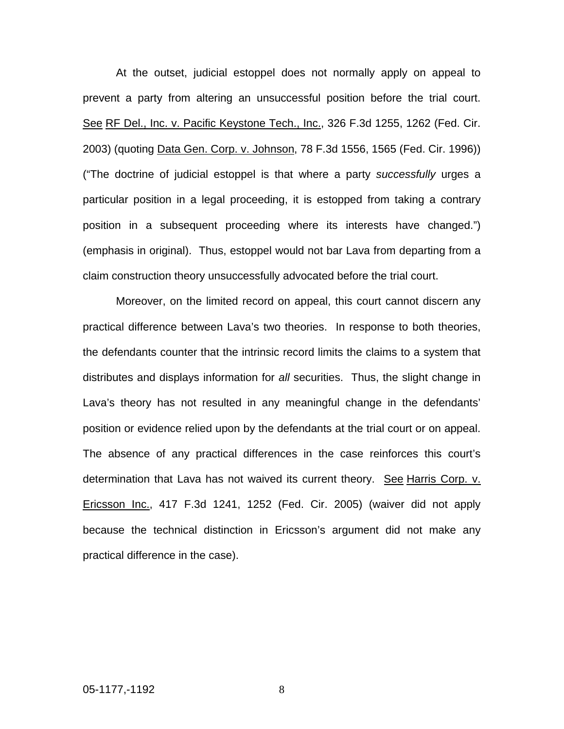At the outset, judicial estoppel does not normally apply on appeal to prevent a party from altering an unsuccessful position before the trial court. See RF Del., Inc. v. Pacific Keystone Tech., Inc., 326 F.3d 1255, 1262 (Fed. Cir. 2003) (quoting Data Gen. Corp. v. Johnson, 78 F.3d 1556, 1565 (Fed. Cir. 1996)) ("The doctrine of judicial estoppel is that where a party *successfully* urges a particular position in a legal proceeding, it is estopped from taking a contrary position in a subsequent proceeding where its interests have changed.") (emphasis in original). Thus, estoppel would not bar Lava from departing from a claim construction theory unsuccessfully advocated before the trial court.

Moreover, on the limited record on appeal, this court cannot discern any practical difference between Lava's two theories. In response to both theories, the defendants counter that the intrinsic record limits the claims to a system that distributes and displays information for *all* securities. Thus, the slight change in Lava's theory has not resulted in any meaningful change in the defendants' position or evidence relied upon by the defendants at the trial court or on appeal. The absence of any practical differences in the case reinforces this court's determination that Lava has not waived its current theory. See Harris Corp. v. Ericsson Inc., 417 F.3d 1241, 1252 (Fed. Cir. 2005) (waiver did not apply because the technical distinction in Ericsson's argument did not make any practical difference in the case).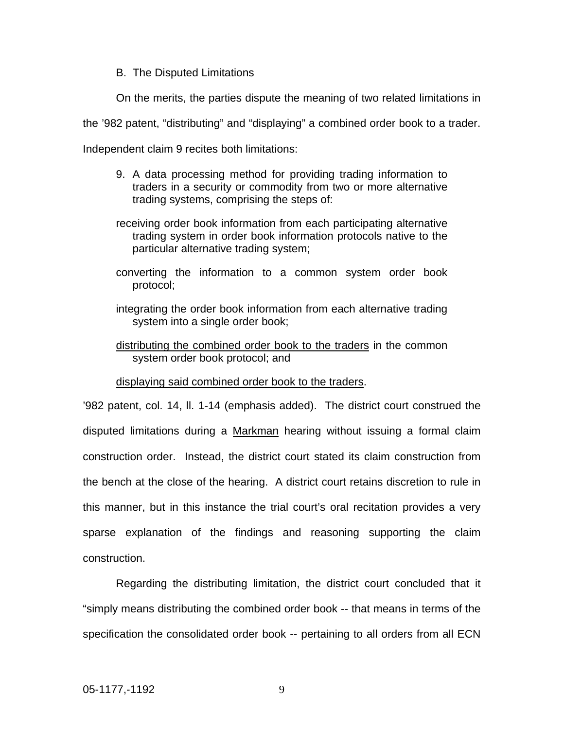#### B. The Disputed Limitations

On the merits, the parties dispute the meaning of two related limitations in

the '982 patent, "distributing" and "displaying" a combined order book to a trader.

Independent claim 9 recites both limitations:

- 9. A data processing method for providing trading information to traders in a security or commodity from two or more alternative trading systems, comprising the steps of:
- receiving order book information from each participating alternative trading system in order book information protocols native to the particular alternative trading system;
- converting the information to a common system order book protocol;
- integrating the order book information from each alternative trading system into a single order book;
- distributing the combined order book to the traders in the common system order book protocol; and

#### displaying said combined order book to the traders.

'982 patent, col. 14, ll. 1-14 (emphasis added). The district court construed the disputed limitations during a Markman hearing without issuing a formal claim construction order. Instead, the district court stated its claim construction from the bench at the close of the hearing. A district court retains discretion to rule in this manner, but in this instance the trial court's oral recitation provides a very sparse explanation of the findings and reasoning supporting the claim construction.

Regarding the distributing limitation, the district court concluded that it "simply means distributing the combined order book -- that means in terms of the specification the consolidated order book -- pertaining to all orders from all ECN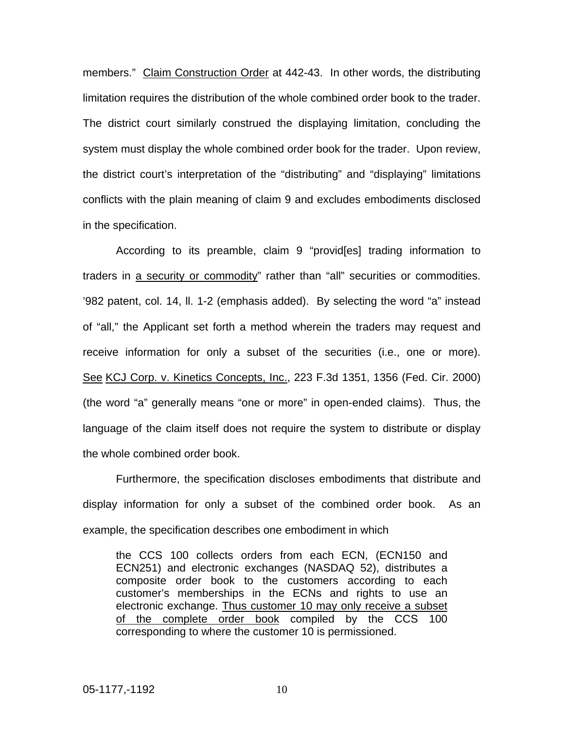members." Claim Construction Order at 442-43. In other words, the distributing limitation requires the distribution of the whole combined order book to the trader. The district court similarly construed the displaying limitation, concluding the system must display the whole combined order book for the trader. Upon review, the district court's interpretation of the "distributing" and "displaying" limitations conflicts with the plain meaning of claim 9 and excludes embodiments disclosed in the specification.

According to its preamble, claim 9 "provid[es] trading information to traders in a security or commodity" rather than "all" securities or commodities. '982 patent, col. 14, ll. 1-2 (emphasis added). By selecting the word "a" instead of "all," the Applicant set forth a method wherein the traders may request and receive information for only a subset of the securities (i.e., one or more). See KCJ Corp. v. Kinetics Concepts, Inc., 223 F.3d 1351, 1356 (Fed. Cir. 2000) (the word "a" generally means "one or more" in open-ended claims). Thus, the language of the claim itself does not require the system to distribute or display the whole combined order book.

Furthermore, the specification discloses embodiments that distribute and display information for only a subset of the combined order book. As an example, the specification describes one embodiment in which

the CCS 100 collects orders from each ECN, (ECN150 and ECN251) and electronic exchanges (NASDAQ 52), distributes a composite order book to the customers according to each customer's memberships in the ECNs and rights to use an electronic exchange. Thus customer 10 may only receive a subset of the complete order book compiled by the CCS 100 corresponding to where the customer 10 is permissioned.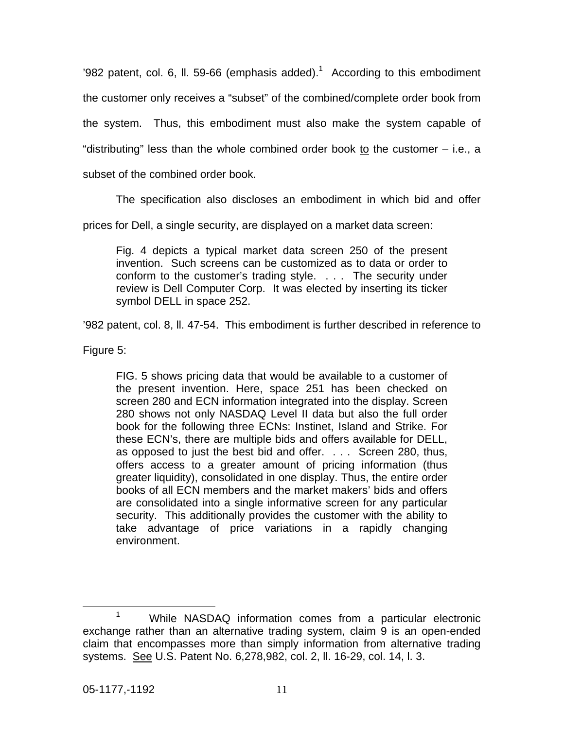'982 patent, col. 6, II. 59-66 (emphasis added).<sup>[1](#page-11-0)</sup> According to this embodiment the customer only receives a "subset" of the combined/complete order book from the system. Thus, this embodiment must also make the system capable of "distributing" less than the whole combined order book to the customer – i.e., a subset of the combined order book.

The specification also discloses an embodiment in which bid and offer

prices for Dell, a single security, are displayed on a market data screen:

Fig. 4 depicts a typical market data screen 250 of the present invention. Such screens can be customized as to data or order to conform to the customer's trading style. . . . The security under review is Dell Computer Corp. It was elected by inserting its ticker symbol DELL in space 252.

'982 patent, col. 8, ll. 47-54. This embodiment is further described in reference to

Figure 5:

FIG. 5 shows pricing data that would be available to a customer of the present invention. Here, space 251 has been checked on screen 280 and ECN information integrated into the display. Screen 280 shows not only NASDAQ Level II data but also the full order book for the following three ECNs: Instinet, Island and Strike. For these ECN's, there are multiple bids and offers available for DELL, as opposed to just the best bid and offer. . . . Screen 280, thus, offers access to a greater amount of pricing information (thus greater liquidity), consolidated in one display. Thus, the entire order books of all ECN members and the market makers' bids and offers are consolidated into a single informative screen for any particular security. This additionally provides the customer with the ability to take advantage of price variations in a rapidly changing environment.

<span id="page-11-0"></span><sup>1</sup> While NASDAQ information comes from a particular electronic exchange rather than an alternative trading system, claim 9 is an open-ended claim that encompasses more than simply information from alternative trading systems. See U.S. Patent No. 6,278,982, col. 2, ll. 16-29, col. 14, l. 3.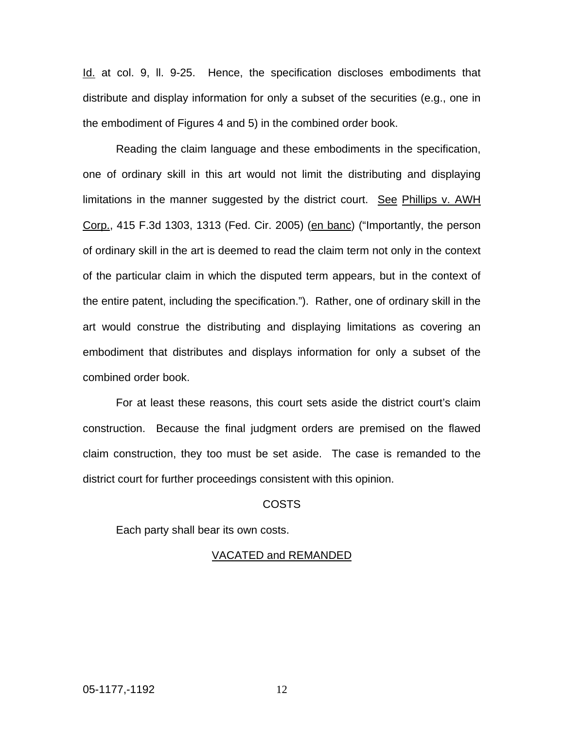Id. at col. 9, ll. 9-25. Hence, the specification discloses embodiments that distribute and display information for only a subset of the securities (e.g., one in the embodiment of Figures 4 and 5) in the combined order book.

Reading the claim language and these embodiments in the specification, one of ordinary skill in this art would not limit the distributing and displaying limitations in the manner suggested by the district court. See Phillips v. AWH Corp., 415 F.3d 1303, 1313 (Fed. Cir. 2005) (en banc) ("Importantly, the person of ordinary skill in the art is deemed to read the claim term not only in the context of the particular claim in which the disputed term appears, but in the context of the entire patent, including the specification."). Rather, one of ordinary skill in the art would construe the distributing and displaying limitations as covering an embodiment that distributes and displays information for only a subset of the combined order book.

For at least these reasons, this court sets aside the district court's claim construction. Because the final judgment orders are premised on the flawed claim construction, they too must be set aside. The case is remanded to the district court for further proceedings consistent with this opinion.

#### COSTS

Each party shall bear its own costs.

#### VACATED and REMANDED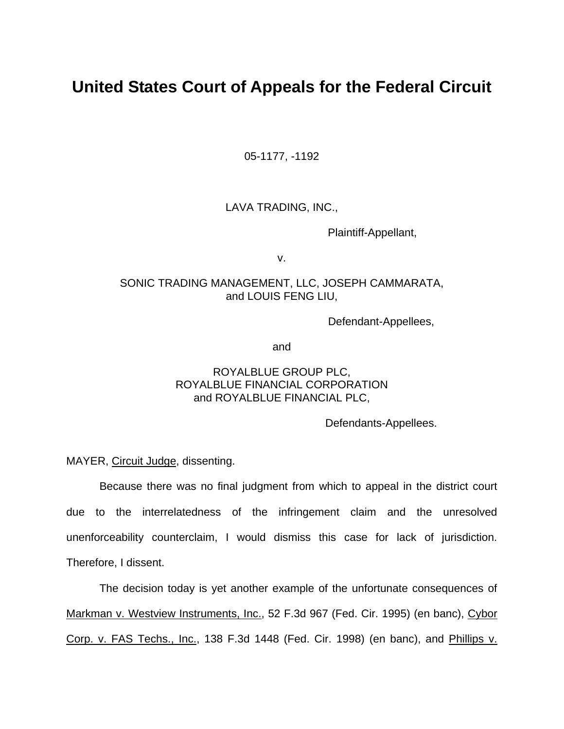## **United States Court of Appeals for the Federal Circuit**

05-1177, -1192

### LAVA TRADING, INC.,

Plaintiff-Appellant,

v.

### SONIC TRADING MANAGEMENT, LLC, JOSEPH CAMMARATA, and LOUIS FENG LIU,

Defendant-Appellees,

and

## ROYALBLUE GROUP PLC, ROYALBLUE FINANCIAL CORPORATION and ROYALBLUE FINANCIAL PLC,

Defendants-Appellees.

MAYER, Circuit Judge, dissenting.

Because there was no final judgment from which to appeal in the district court due to the interrelatedness of the infringement claim and the unresolved unenforceability counterclaim, I would dismiss this case for lack of jurisdiction. Therefore, I dissent.

The decision today is yet another example of the unfortunate consequences of Markman v. Westview Instruments, Inc., 52 F.3d 967 (Fed. Cir. 1995) (en banc), Cybor Corp. v. FAS Techs., Inc., 138 F.3d 1448 (Fed. Cir. 1998) (en banc), and Phillips v.